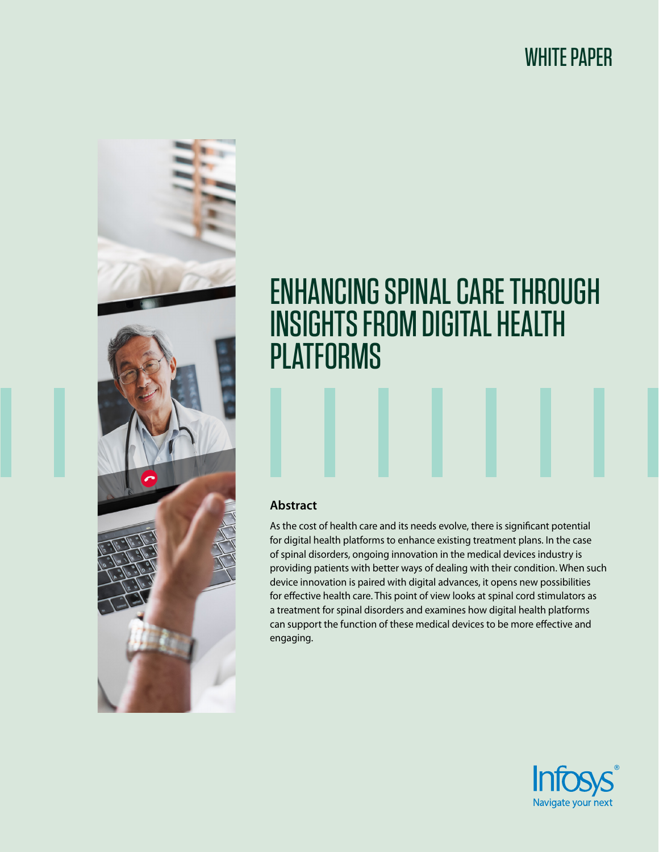# WHITE PAPER



# ENHANCING SPINAL CARE THROUGH INSIGHTS FROM DIGITAL HEALTH PLATFORMS

### **Abstract**

As the cost of health care and its needs evolve, there is significant potential for digital health platforms to enhance existing treatment plans. In the case of spinal disorders, ongoing innovation in the medical devices industry is providing patients with better ways of dealing with their condition. When such device innovation is paired with digital advances, it opens new possibilities for effective health care. This point of view looks at spinal cord stimulators as a treatment for spinal disorders and examines how digital health platforms can support the function of these medical devices to be more effective and engaging.

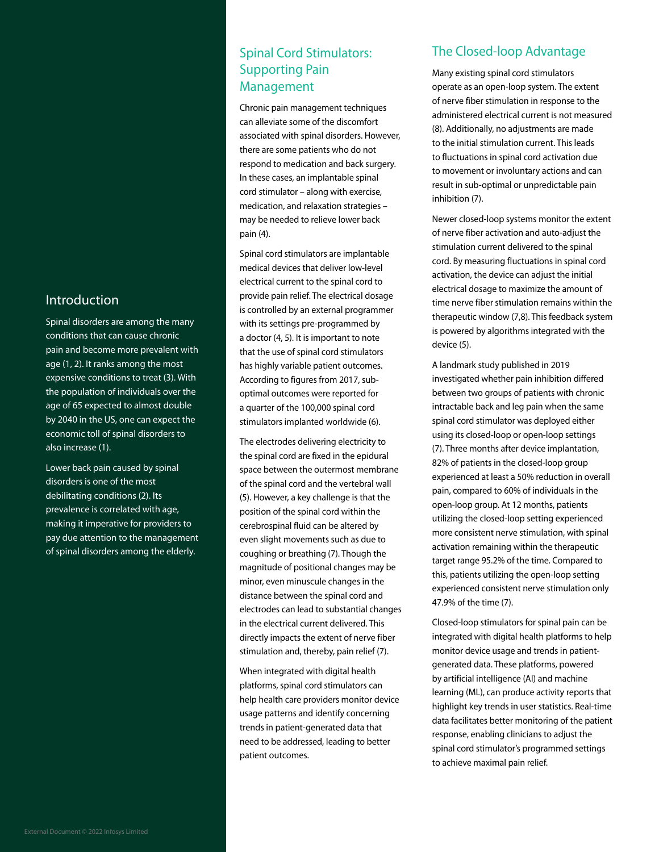#### Introduction

Spinal disorders are among the many conditions that can cause chronic pain and become more prevalent with age (1, 2). It ranks among the most expensive conditions to treat (3). With the population of individuals over the age of 65 expected to almost double by 2040 in the US, one can expect the economic toll of spinal disorders to also increase (1).

Lower back pain caused by spinal disorders is one of the most debilitating conditions (2). Its prevalence is correlated with age, making it imperative for providers to pay due attention to the management of spinal disorders among the elderly.

# Spinal Cord Stimulators: Supporting Pain Management

Chronic pain management techniques can alleviate some of the discomfort associated with spinal disorders. However, there are some patients who do not respond to medication and back surgery. In these cases, an implantable spinal cord stimulator – along with exercise, medication, and relaxation strategies – may be needed to relieve lower back pain (4).

Spinal cord stimulators are implantable medical devices that deliver low-level electrical current to the spinal cord to provide pain relief. The electrical dosage is controlled by an external programmer with its settings pre-programmed by a doctor (4, 5). It is important to note that the use of spinal cord stimulators has highly variable patient outcomes. According to figures from 2017, suboptimal outcomes were reported for a quarter of the 100,000 spinal cord stimulators implanted worldwide (6).

The electrodes delivering electricity to the spinal cord are fixed in the epidural space between the outermost membrane of the spinal cord and the vertebral wall (5). However, a key challenge is that the position of the spinal cord within the cerebrospinal fluid can be altered by even slight movements such as due to coughing or breathing (7). Though the magnitude of positional changes may be minor, even minuscule changes in the distance between the spinal cord and electrodes can lead to substantial changes in the electrical current delivered. This directly impacts the extent of nerve fiber stimulation and, thereby, pain relief (7).

When integrated with digital health platforms, spinal cord stimulators can help health care providers monitor device usage patterns and identify concerning trends in patient-generated data that need to be addressed, leading to better patient outcomes.

# The Closed-loop Advantage

Many existing spinal cord stimulators operate as an open-loop system. The extent of nerve fiber stimulation in response to the administered electrical current is not measured (8). Additionally, no adjustments are made to the initial stimulation current. This leads to fluctuations in spinal cord activation due to movement or involuntary actions and can result in sub-optimal or unpredictable pain inhibition (7).

Newer closed-loop systems monitor the extent of nerve fiber activation and auto-adjust the stimulation current delivered to the spinal cord. By measuring fluctuations in spinal cord activation, the device can adjust the initial electrical dosage to maximize the amount of time nerve fiber stimulation remains within the therapeutic window (7,8). This feedback system is powered by algorithms integrated with the device (5).

A landmark study published in 2019 investigated whether pain inhibition differed between two groups of patients with chronic intractable back and leg pain when the same spinal cord stimulator was deployed either using its closed-loop or open-loop settings (7). Three months after device implantation, 82% of patients in the closed-loop group experienced at least a 50% reduction in overall pain, compared to 60% of individuals in the open-loop group. At 12 months, patients utilizing the closed-loop setting experienced more consistent nerve stimulation, with spinal activation remaining within the therapeutic target range 95.2% of the time. Compared to this, patients utilizing the open-loop setting experienced consistent nerve stimulation only 47.9% of the time (7).

Closed-loop stimulators for spinal pain can be integrated with digital health platforms to help monitor device usage and trends in patientgenerated data. These platforms, powered by artificial intelligence (AI) and machine learning (ML), can produce activity reports that highlight key trends in user statistics. Real-time data facilitates better monitoring of the patient response, enabling clinicians to adjust the spinal cord stimulator's programmed settings to achieve maximal pain relief.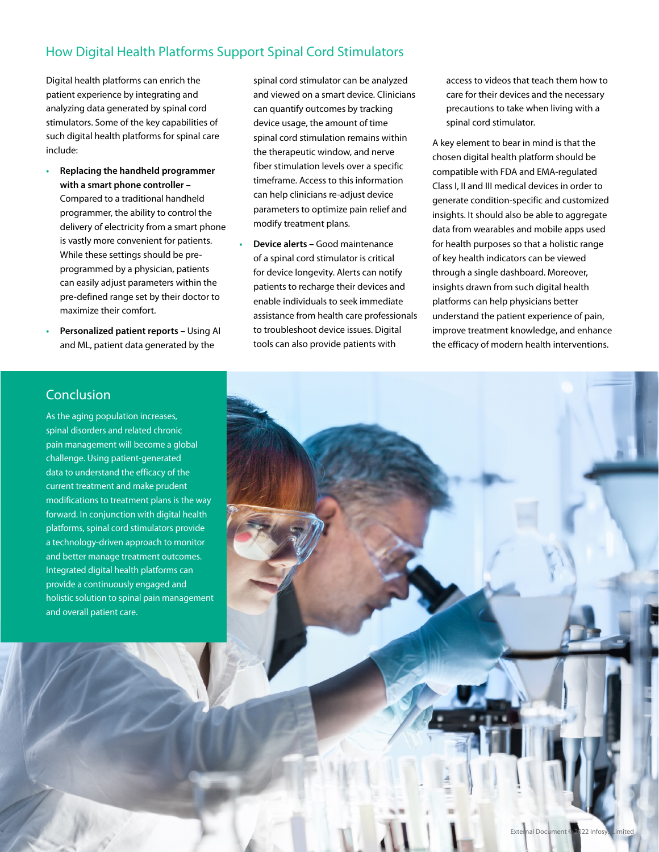# How Digital Health Platforms Support Spinal Cord Stimulators

Digital health platforms can enrich the patient experience by integrating and analyzing data generated by spinal cord stimulators. Some of the key capabilities of such digital health platforms for spinal care include:

- **• Replacing the handheld programmer with a smart phone controller –**  Compared to a traditional handheld programmer, the ability to control the delivery of electricity from a smart phone is vastly more convenient for patients. While these settings should be preprogrammed by a physician, patients can easily adjust parameters within the pre-defined range set by their doctor to maximize their comfort.
- **• Personalized patient reports** Using AI and ML, patient data generated by the

spinal cord stimulator can be analyzed and viewed on a smart device. Clinicians can quantify outcomes by tracking device usage, the amount of time spinal cord stimulation remains within the therapeutic window, and nerve fiber stimulation levels over a specific timeframe. Access to this information can help clinicians re-adjust device parameters to optimize pain relief and modify treatment plans.

**• Device alerts –** Good maintenance of a spinal cord stimulator is critical for device longevity. Alerts can notify patients to recharge their devices and enable individuals to seek immediate assistance from health care professionals to troubleshoot device issues. Digital tools can also provide patients with

access to videos that teach them how to care for their devices and the necessary precautions to take when living with a spinal cord stimulator.

A key element to bear in mind is that the chosen digital health platform should be compatible with FDA and EMA-regulated Class I, II and III medical devices in order to generate condition-specific and customized insights. It should also be able to aggregate data from wearables and mobile apps used for health purposes so that a holistic range of key health indicators can be viewed through a single dashboard. Moreover, insights drawn from such digital health platforms can help physicians better understand the patient experience of pain, improve treatment knowledge, and enhance the efficacy of modern health interventions.

# Conclusion

As the aging population increases, spinal disorders and related chronic pain management will become a global challenge. Using patient-generated data to understand the efficacy of the current treatment and make prudent modifications to treatment plans is the way forward. In conjunction with digital health platforms, spinal cord stimulators provide a technology-driven approach to monitor and better manage treatment outcomes. Integrated digital health platforms can provide a continuously engaged and holistic solution to spinal pain management and overall patient care.